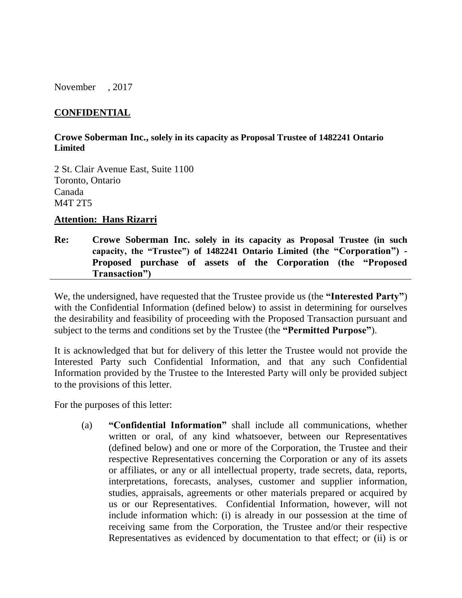November , 2017

## **CONFIDENTIAL**

#### **Crowe Soberman Inc., solely in its capacity as Proposal Trustee of 1482241 Ontario Limited**

2 St. Clair Avenue East, Suite 1100 Toronto, Ontario Canada M4T 2T5

#### **Attention: Hans Rizarri**

**Re: Crowe Soberman Inc. solely in its capacity as Proposal Trustee (in such capacity, the "Trustee") of 1482241 Ontario Limited (the "Corporation") - Proposed purchase of assets of the Corporation (the "Proposed Transaction")**

We, the undersigned, have requested that the Trustee provide us (the **"Interested Party"**) with the Confidential Information (defined below) to assist in determining for ourselves the desirability and feasibility of proceeding with the Proposed Transaction pursuant and subject to the terms and conditions set by the Trustee (the **"Permitted Purpose"**).

It is acknowledged that but for delivery of this letter the Trustee would not provide the Interested Party such Confidential Information, and that any such Confidential Information provided by the Trustee to the Interested Party will only be provided subject to the provisions of this letter.

For the purposes of this letter:

(a) **"Confidential Information"** shall include all communications, whether written or oral, of any kind whatsoever, between our Representatives (defined below) and one or more of the Corporation, the Trustee and their respective Representatives concerning the Corporation or any of its assets or affiliates, or any or all intellectual property, trade secrets, data, reports, interpretations, forecasts, analyses, customer and supplier information, studies, appraisals, agreements or other materials prepared or acquired by us or our Representatives. Confidential Information, however, will not include information which: (i) is already in our possession at the time of receiving same from the Corporation, the Trustee and/or their respective Representatives as evidenced by documentation to that effect; or (ii) is or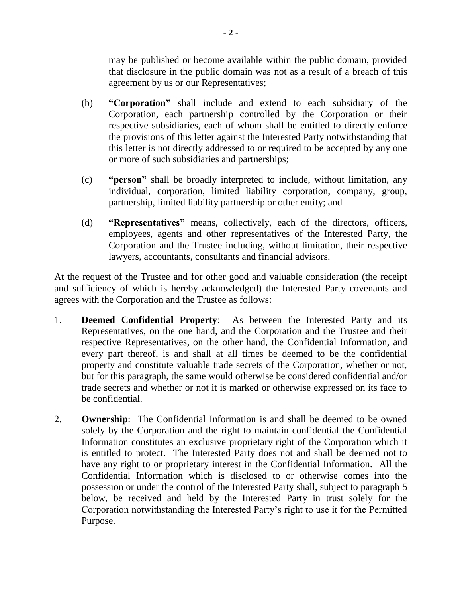may be published or become available within the public domain, provided that disclosure in the public domain was not as a result of a breach of this agreement by us or our Representatives;

- (b) **"Corporation"** shall include and extend to each subsidiary of the Corporation, each partnership controlled by the Corporation or their respective subsidiaries, each of whom shall be entitled to directly enforce the provisions of this letter against the Interested Party notwithstanding that this letter is not directly addressed to or required to be accepted by any one or more of such subsidiaries and partnerships;
- (c) **"person"** shall be broadly interpreted to include, without limitation, any individual, corporation, limited liability corporation, company, group, partnership, limited liability partnership or other entity; and
- (d) **"Representatives"** means, collectively, each of the directors, officers, employees, agents and other representatives of the Interested Party, the Corporation and the Trustee including, without limitation, their respective lawyers, accountants, consultants and financial advisors.

At the request of the Trustee and for other good and valuable consideration (the receipt and sufficiency of which is hereby acknowledged) the Interested Party covenants and agrees with the Corporation and the Trustee as follows:

- 1. **Deemed Confidential Property**: As between the Interested Party and its Representatives, on the one hand, and the Corporation and the Trustee and their respective Representatives, on the other hand, the Confidential Information, and every part thereof, is and shall at all times be deemed to be the confidential property and constitute valuable trade secrets of the Corporation, whether or not, but for this paragraph, the same would otherwise be considered confidential and/or trade secrets and whether or not it is marked or otherwise expressed on its face to be confidential.
- 2. **Ownership**: The Confidential Information is and shall be deemed to be owned solely by the Corporation and the right to maintain confidential the Confidential Information constitutes an exclusive proprietary right of the Corporation which it is entitled to protect. The Interested Party does not and shall be deemed not to have any right to or proprietary interest in the Confidential Information. All the Confidential Information which is disclosed to or otherwise comes into the possession or under the control of the Interested Party shall, subject to paragraph [5](#page-2-0) below, be received and held by the Interested Party in trust solely for the Corporation notwithstanding the Interested Party's right to use it for the Permitted Purpose.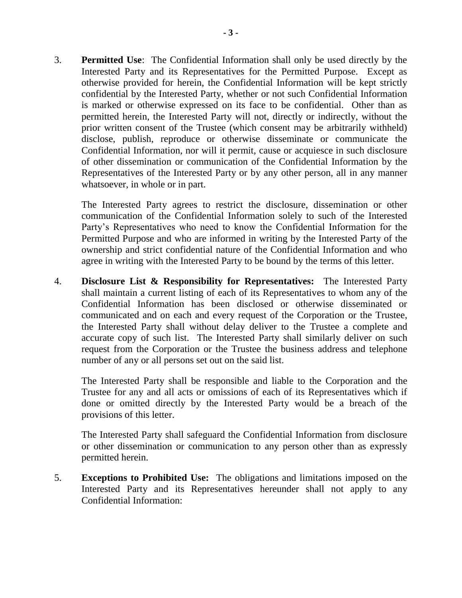3. **Permitted Use**: The Confidential Information shall only be used directly by the Interested Party and its Representatives for the Permitted Purpose. Except as otherwise provided for herein, the Confidential Information will be kept strictly confidential by the Interested Party, whether or not such Confidential Information is marked or otherwise expressed on its face to be confidential. Other than as permitted herein, the Interested Party will not, directly or indirectly, without the prior written consent of the Trustee (which consent may be arbitrarily withheld) disclose, publish, reproduce or otherwise disseminate or communicate the Confidential Information, nor will it permit, cause or acquiesce in such disclosure of other dissemination or communication of the Confidential Information by the Representatives of the Interested Party or by any other person, all in any manner whatsoever, in whole or in part.

The Interested Party agrees to restrict the disclosure, dissemination or other communication of the Confidential Information solely to such of the Interested Party's Representatives who need to know the Confidential Information for the Permitted Purpose and who are informed in writing by the Interested Party of the ownership and strict confidential nature of the Confidential Information and who agree in writing with the Interested Party to be bound by the terms of this letter.

4. **Disclosure List & Responsibility for Representatives:** The Interested Party shall maintain a current listing of each of its Representatives to whom any of the Confidential Information has been disclosed or otherwise disseminated or communicated and on each and every request of the Corporation or the Trustee, the Interested Party shall without delay deliver to the Trustee a complete and accurate copy of such list. The Interested Party shall similarly deliver on such request from the Corporation or the Trustee the business address and telephone number of any or all persons set out on the said list.

The Interested Party shall be responsible and liable to the Corporation and the Trustee for any and all acts or omissions of each of its Representatives which if done or omitted directly by the Interested Party would be a breach of the provisions of this letter.

The Interested Party shall safeguard the Confidential Information from disclosure or other dissemination or communication to any person other than as expressly permitted herein.

<span id="page-2-0"></span>5. **Exceptions to Prohibited Use:** The obligations and limitations imposed on the Interested Party and its Representatives hereunder shall not apply to any Confidential Information: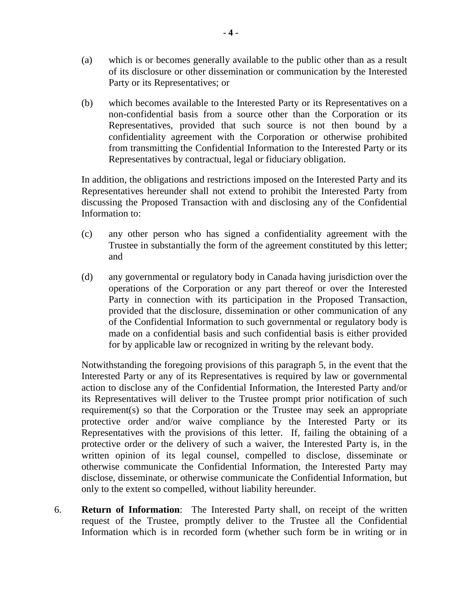- (a) which is or becomes generally available to the public other than as a result of its disclosure or other dissemination or communication by the Interested Party or its Representatives; or
- (b) which becomes available to the Interested Party or its Representatives on a non-confidential basis from a source other than the Corporation or its Representatives, provided that such source is not then bound by a confidentiality agreement with the Corporation or otherwise prohibited from transmitting the Confidential Information to the Interested Party or its Representatives by contractual, legal or fiduciary obligation.

In addition, the obligations and restrictions imposed on the Interested Party and its Representatives hereunder shall not extend to prohibit the Interested Party from discussing the Proposed Transaction with and disclosing any of the Confidential Information to:

- (c) any other person who has signed a confidentiality agreement with the Trustee in substantially the form of the agreement constituted by this letter; and
- (d) any governmental or regulatory body in Canada having jurisdiction over the operations of the Corporation or any part thereof or over the Interested Party in connection with its participation in the Proposed Transaction, provided that the disclosure, dissemination or other communication of any of the Confidential Information to such governmental or regulatory body is made on a confidential basis and such confidential basis is either provided for by applicable law or recognized in writing by the relevant body.

Notwithstanding the foregoing provisions of this paragraph [5,](#page-2-0) in the event that the Interested Party or any of its Representatives is required by law or governmental action to disclose any of the Confidential Information, the Interested Party and/or its Representatives will deliver to the Trustee prompt prior notification of such requirement(s) so that the Corporation or the Trustee may seek an appropriate protective order and/or waive compliance by the Interested Party or its Representatives with the provisions of this letter. If, failing the obtaining of a protective order or the delivery of such a waiver, the Interested Party is, in the written opinion of its legal counsel, compelled to disclose, disseminate or otherwise communicate the Confidential Information, the Interested Party may disclose, disseminate, or otherwise communicate the Confidential Information, but only to the extent so compelled, without liability hereunder.

6. **Return of Information**: The Interested Party shall, on receipt of the written request of the Trustee, promptly deliver to the Trustee all the Confidential Information which is in recorded form (whether such form be in writing or in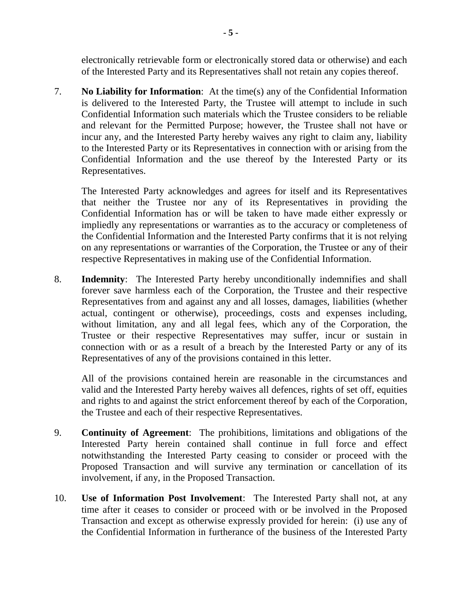electronically retrievable form or electronically stored data or otherwise) and each of the Interested Party and its Representatives shall not retain any copies thereof.

7. **No Liability for Information**: At the time(s) any of the Confidential Information is delivered to the Interested Party, the Trustee will attempt to include in such Confidential Information such materials which the Trustee considers to be reliable and relevant for the Permitted Purpose; however, the Trustee shall not have or incur any, and the Interested Party hereby waives any right to claim any, liability to the Interested Party or its Representatives in connection with or arising from the Confidential Information and the use thereof by the Interested Party or its Representatives.

The Interested Party acknowledges and agrees for itself and its Representatives that neither the Trustee nor any of its Representatives in providing the Confidential Information has or will be taken to have made either expressly or impliedly any representations or warranties as to the accuracy or completeness of the Confidential Information and the Interested Party confirms that it is not relying on any representations or warranties of the Corporation, the Trustee or any of their respective Representatives in making use of the Confidential Information.

8. **Indemnity**: The Interested Party hereby unconditionally indemnifies and shall forever save harmless each of the Corporation, the Trustee and their respective Representatives from and against any and all losses, damages, liabilities (whether actual, contingent or otherwise), proceedings, costs and expenses including, without limitation, any and all legal fees, which any of the Corporation, the Trustee or their respective Representatives may suffer, incur or sustain in connection with or as a result of a breach by the Interested Party or any of its Representatives of any of the provisions contained in this letter.

All of the provisions contained herein are reasonable in the circumstances and valid and the Interested Party hereby waives all defences, rights of set off, equities and rights to and against the strict enforcement thereof by each of the Corporation, the Trustee and each of their respective Representatives.

- 9. **Continuity of Agreement**: The prohibitions, limitations and obligations of the Interested Party herein contained shall continue in full force and effect notwithstanding the Interested Party ceasing to consider or proceed with the Proposed Transaction and will survive any termination or cancellation of its involvement, if any, in the Proposed Transaction.
- 10. **Use of Information Post Involvement**: The Interested Party shall not, at any time after it ceases to consider or proceed with or be involved in the Proposed Transaction and except as otherwise expressly provided for herein: (i) use any of the Confidential Information in furtherance of the business of the Interested Party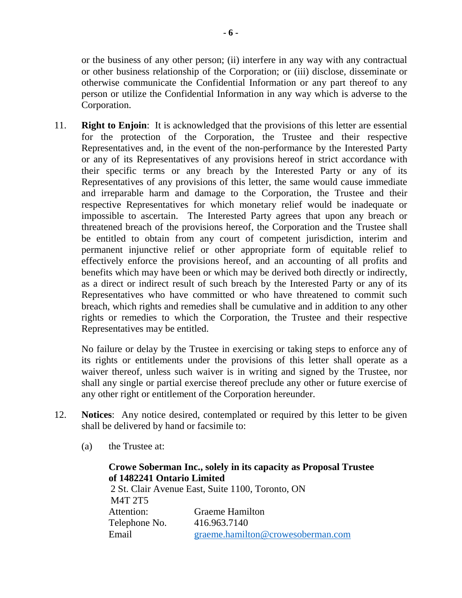or the business of any other person; (ii) interfere in any way with any contractual or other business relationship of the Corporation; or (iii) disclose, disseminate or otherwise communicate the Confidential Information or any part thereof to any person or utilize the Confidential Information in any way which is adverse to the Corporation.

11. **Right to Enjoin**: It is acknowledged that the provisions of this letter are essential for the protection of the Corporation, the Trustee and their respective Representatives and, in the event of the non-performance by the Interested Party or any of its Representatives of any provisions hereof in strict accordance with their specific terms or any breach by the Interested Party or any of its Representatives of any provisions of this letter, the same would cause immediate and irreparable harm and damage to the Corporation, the Trustee and their respective Representatives for which monetary relief would be inadequate or impossible to ascertain. The Interested Party agrees that upon any breach or threatened breach of the provisions hereof, the Corporation and the Trustee shall be entitled to obtain from any court of competent jurisdiction, interim and permanent injunctive relief or other appropriate form of equitable relief to effectively enforce the provisions hereof, and an accounting of all profits and benefits which may have been or which may be derived both directly or indirectly, as a direct or indirect result of such breach by the Interested Party or any of its Representatives who have committed or who have threatened to commit such breach, which rights and remedies shall be cumulative and in addition to any other rights or remedies to which the Corporation, the Trustee and their respective Representatives may be entitled.

No failure or delay by the Trustee in exercising or taking steps to enforce any of its rights or entitlements under the provisions of this letter shall operate as a waiver thereof, unless such waiver is in writing and signed by the Trustee, nor shall any single or partial exercise thereof preclude any other or future exercise of any other right or entitlement of the Corporation hereunder.

- 12. **Notices**: Any notice desired, contemplated or required by this letter to be given shall be delivered by hand or facsimile to:
	- (a) the Trustee at:

# **Crowe Soberman Inc., solely in its capacity as Proposal Trustee of 1482241 Ontario Limited** 2 St. Clair Avenue East, Suite 1100, Toronto, ON M4T 2T5 Attention: Graeme Hamilton Telephone No. 416.963.7140 Email [graeme.hamilton@crowesoberman.com](mailto:graeme.hamilton@crowesoberman.com)